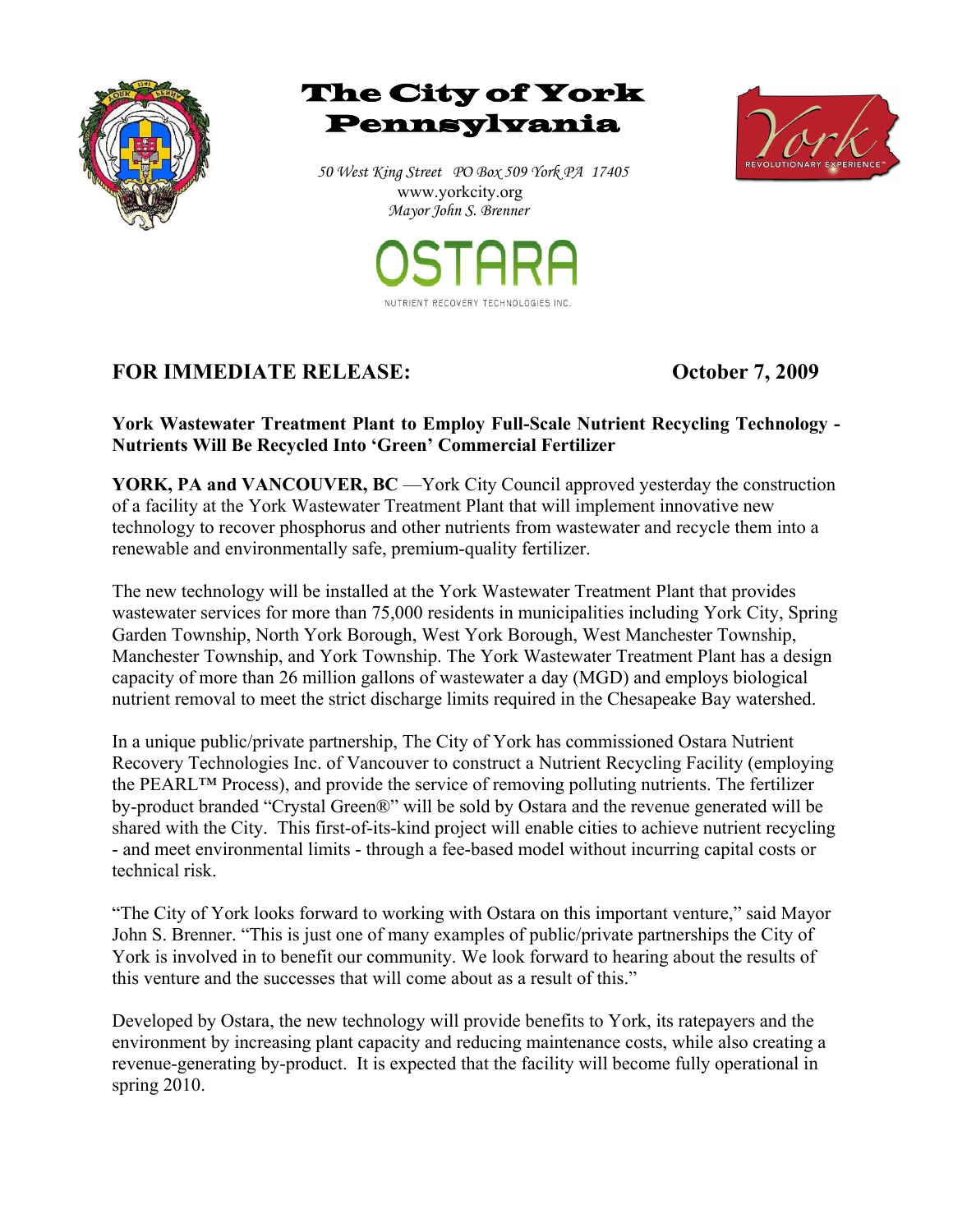





*50 West King Street PO Box 509 York PA 17405*  www.yorkcity.org  *Mayor John S. Brenner*



## **FOR IMMEDIATE RELEASE: October 7, 2009**

 **York Wastewater Treatment Plant to Employ Full-Scale Nutrient Recycling Technology - Nutrients Will Be Recycled Into 'Green' Commercial Fertilizer** 

**YORK, PA and VANCOUVER, BC** —York City Council approved yesterday the construction of a facility at the York Wastewater Treatment Plant that will implement innovative new technology to recover phosphorus and other nutrients from wastewater and recycle them into a renewable and environmentally safe, premium-quality fertilizer.

The new technology will be installed at the York Wastewater Treatment Plant that provides wastewater services for more than 75,000 residents in municipalities including York City, Spring Garden Township, North York Borough, West York Borough, West Manchester Township, Manchester Township, and York Township. The York Wastewater Treatment Plant has a design capacity of more than 26 million gallons of wastewater a day (MGD) and employs biological nutrient removal to meet the strict discharge limits required in the Chesapeake Bay watershed.

In a unique public/private partnership, The City of York has commissioned Ostara Nutrient Recovery Technologies Inc. of Vancouver to construct a Nutrient Recycling Facility (employing the PEARL™ Process), and provide the service of removing polluting nutrients. The fertilizer by-product branded "Crystal Green®" will be sold by Ostara and the revenue generated will be shared with the City. This first-of-its-kind project will enable cities to achieve nutrient recycling - and meet environmental limits - through a fee-based model without incurring capital costs or technical risk.

"The City of York looks forward to working with Ostara on this important venture," said Mayor John S. Brenner. "This is just one of many examples of public/private partnerships the City of York is involved in to benefit our community. We look forward to hearing about the results of this venture and the successes that will come about as a result of this."

Developed by Ostara, the new technology will provide benefits to York, its ratepayers and the environment by increasing plant capacity and reducing maintenance costs, while also creating a revenue-generating by-product. It is expected that the facility will become fully operational in spring 2010.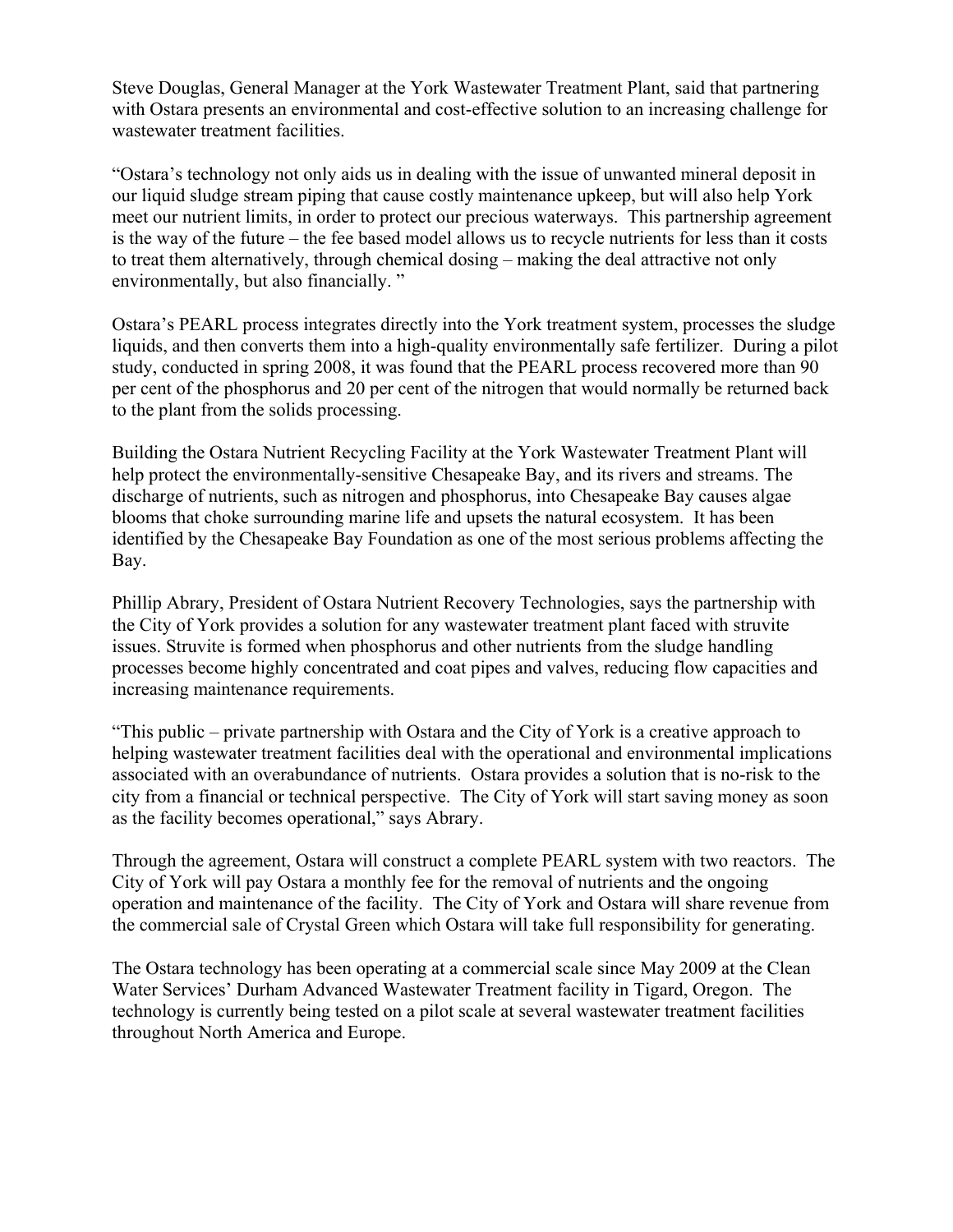Steve Douglas, General Manager at the York Wastewater Treatment Plant, said that partnering with Ostara presents an environmental and cost-effective solution to an increasing challenge for wastewater treatment facilities.

"Ostara's technology not only aids us in dealing with the issue of unwanted mineral deposit in our liquid sludge stream piping that cause costly maintenance upkeep, but will also help York meet our nutrient limits, in order to protect our precious waterways. This partnership agreement is the way of the future – the fee based model allows us to recycle nutrients for less than it costs to treat them alternatively, through chemical dosing – making the deal attractive not only environmentally, but also financially. "

Ostara's PEARL process integrates directly into the York treatment system, processes the sludge liquids, and then converts them into a high-quality environmentally safe fertilizer. During a pilot study, conducted in spring 2008, it was found that the PEARL process recovered more than 90 per cent of the phosphorus and 20 per cent of the nitrogen that would normally be returned back to the plant from the solids processing.

Building the Ostara Nutrient Recycling Facility at the York Wastewater Treatment Plant will help protect the environmentally-sensitive Chesapeake Bay, and its rivers and streams. The discharge of nutrients, such as nitrogen and phosphorus, into Chesapeake Bay causes algae blooms that choke surrounding marine life and upsets the natural ecosystem. It has been identified by the Chesapeake Bay Foundation as one of the most serious problems affecting the Bay.

Phillip Abrary, President of Ostara Nutrient Recovery Technologies, says the partnership with the City of York provides a solution for any wastewater treatment plant faced with struvite issues. Struvite is formed when phosphorus and other nutrients from the sludge handling processes become highly concentrated and coat pipes and valves, reducing flow capacities and increasing maintenance requirements.

"This public – private partnership with Ostara and the City of York is a creative approach to helping wastewater treatment facilities deal with the operational and environmental implications associated with an overabundance of nutrients. Ostara provides a solution that is no-risk to the city from a financial or technical perspective. The City of York will start saving money as soon as the facility becomes operational," says Abrary.

Through the agreement, Ostara will construct a complete PEARL system with two reactors. The City of York will pay Ostara a monthly fee for the removal of nutrients and the ongoing operation and maintenance of the facility. The City of York and Ostara will share revenue from the commercial sale of Crystal Green which Ostara will take full responsibility for generating.

The Ostara technology has been operating at a commercial scale since May 2009 at the Clean Water Services' Durham Advanced Wastewater Treatment facility in Tigard, Oregon. The technology is currently being tested on a pilot scale at several wastewater treatment facilities throughout North America and Europe.